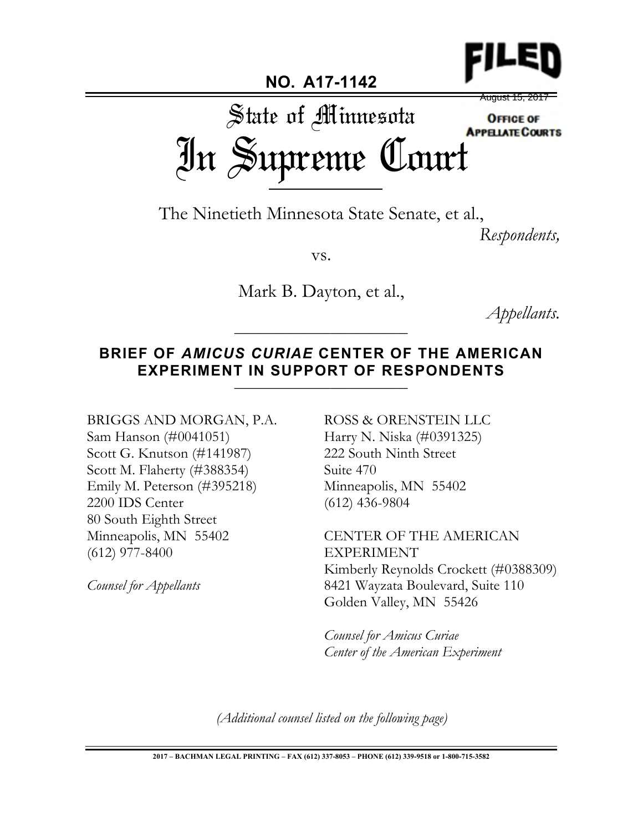

## **NO. A17-1142**

August 15, 2017

State of Minnesota **OFFICE OF** In Supreme Court

The Ninetieth Minnesota State Senate, et al.,

*Respondents,*

vs.

Mark B. Dayton, et al.,

*Appellants.* \_\_\_\_\_\_\_\_\_\_\_\_\_\_\_\_\_\_\_\_\_\_\_\_\_\_\_

## **BRIEF OF** *AMICUS CURIAE* **CENTER OF THE AMERICAN**  EXPERIMENT IN SUPPORT OF RESPONDENTS

# BRIGGS AND MORGAN, P.A.

Sam Hanson (#0041051) Scott G. Knutson (#141987) Scott M. Flaherty (#388354) Emily M. Peterson (#395218) 2200 IDS Center 80 South Eighth Street Minneapolis, MN 55402 (612) 977-8400

*Counsel for Appellants*

ROSS & ORENSTEIN LLC Harry N. Niska (#0391325) 222 South Ninth Street Suite 470 Minneapolis, MN 55402 (612) 436-9804

CENTER OF THE AMERICAN EXPERIMENT Kimberly Reynolds Crockett (#0388309) 8421 Wayzata Boulevard, Suite 110 Golden Valley, MN 55426

*Counsel for Amicus Curiae Center of the American Experiment*

*(Additional counsel listed on the following page)*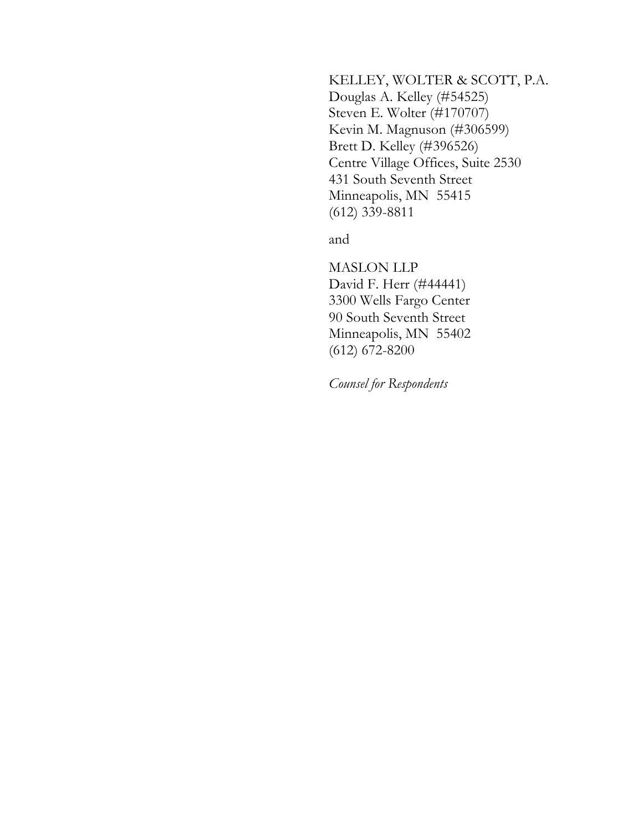#### KELLEY, WOLTER & SCOTT, P.A.

Douglas A. Kelley (#54525) Steven E. Wolter (#170707) Kevin M. Magnuson (#306599) Brett D. Kelley (#396526) Centre Village Offices, Suite 2530 431 South Seventh Street Minneapolis, MN 55415 (612) 339-8811

and

MASLON LLP David F. Herr (#44441) 3300 Wells Fargo Center 90 South Seventh Street Minneapolis, MN 55402 (612) 672-8200

*Counsel for Respondents*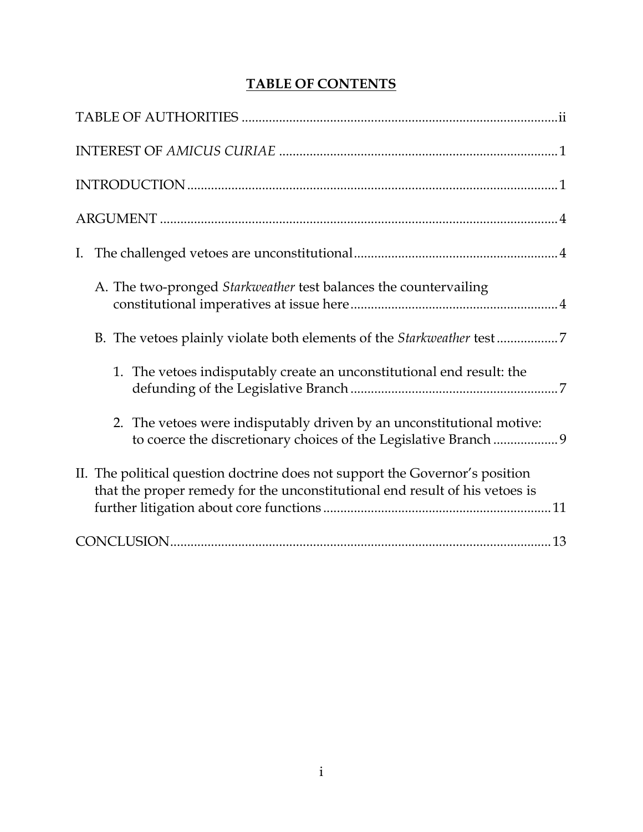## **TABLE OF CONTENTS**

| A. The two-pronged Starkweather test balances the countervailing                                                                                            |
|-------------------------------------------------------------------------------------------------------------------------------------------------------------|
|                                                                                                                                                             |
| 1. The vetoes indisputably create an unconstitutional end result: the                                                                                       |
| 2. The vetoes were indisputably driven by an unconstitutional motive:<br>to coerce the discretionary choices of the Legislative Branch  9                   |
| II. The political question doctrine does not support the Governor's position<br>that the proper remedy for the unconstitutional end result of his vetoes is |
|                                                                                                                                                             |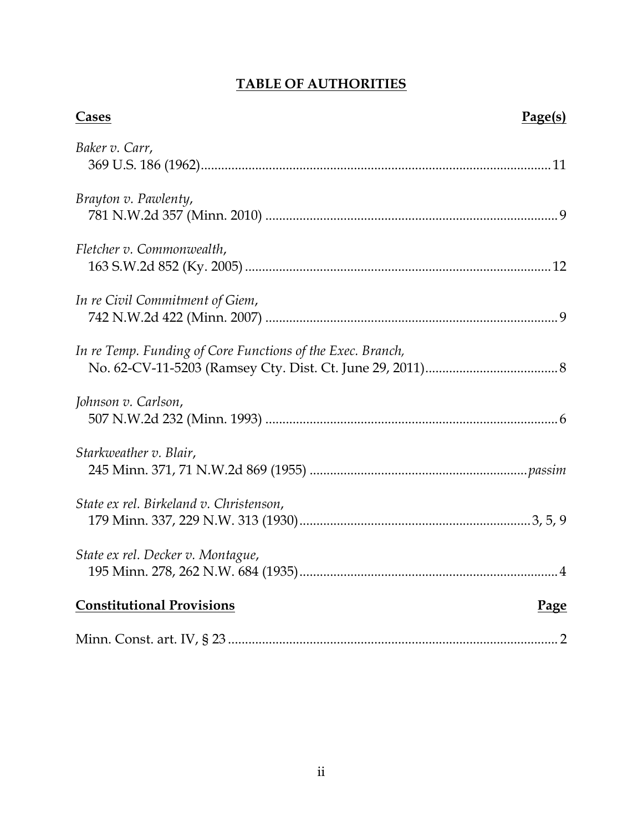## **TABLE OF AUTHORITIES**

| Cases                                                      | Page(s) |
|------------------------------------------------------------|---------|
| Baker v. Carr,                                             |         |
| Brayton v. Pawlenty,                                       |         |
| Fletcher v. Commonwealth,                                  |         |
| In re Civil Commitment of Giem,                            |         |
| In re Temp. Funding of Core Functions of the Exec. Branch, |         |
| Johnson v. Carlson,                                        |         |
| Starkweather v. Blair,                                     |         |
| State ex rel. Birkeland v. Christenson,                    |         |
| State ex rel. Decker v. Montague,                          |         |
| <b>Constitutional Provisions</b>                           | Page    |
|                                                            |         |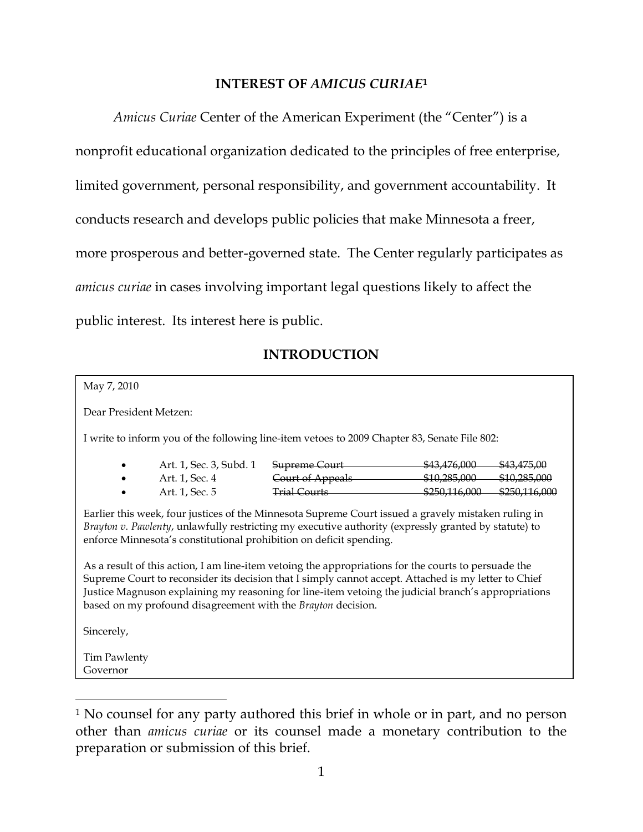### **INTEREST OF** *AMICUS CURIAE***<sup>1</sup>**

*Amicus Curiae* Center of the American Experiment (the "Center") is a nonprofit educational organization dedicated to the principles of free enterprise, limited government, personal responsibility, and government accountability. It conducts research and develops public policies that make Minnesota a freer, more prosperous and better-governed state. The Center regularly participates as *amicus curiae* in cases involving important legal questions likely to affect the public interest. Its interest here is public.

### **INTRODUCTION**

| May 7, 2010                                                                                                                                                                                                                                                                                                                                                                         |                                                             |                                                                                           |  |                                                                    |  |
|-------------------------------------------------------------------------------------------------------------------------------------------------------------------------------------------------------------------------------------------------------------------------------------------------------------------------------------------------------------------------------------|-------------------------------------------------------------|-------------------------------------------------------------------------------------------|--|--------------------------------------------------------------------|--|
| Dear President Metzen:                                                                                                                                                                                                                                                                                                                                                              |                                                             |                                                                                           |  |                                                                    |  |
| I write to inform you of the following line-item vetoes to 2009 Chapter 83, Senate File 802:                                                                                                                                                                                                                                                                                        |                                                             |                                                                                           |  |                                                                    |  |
|                                                                                                                                                                                                                                                                                                                                                                                     | Art. 1, Sec. 3, Subd. 1<br>Art. 1, Sec. 4<br>Art. 1, Sec. 5 | Supreme Court \$43,476,000<br>Court of Appeals \$10,285,000<br>Trial Courts \$250,116,000 |  | \$43.475.00<br><del>\$10,285,000</del><br><del>\$250,116,000</del> |  |
| Earlier this week, four justices of the Minnesota Supreme Court issued a gravely mistaken ruling in<br>Brayton v. Pawlenty, unlawfully restricting my executive authority (expressly granted by statute) to<br>enforce Minnesota's constitutional prohibition on deficit spending.                                                                                                  |                                                             |                                                                                           |  |                                                                    |  |
| As a result of this action, I am line-item vetoing the appropriations for the courts to persuade the<br>Supreme Court to reconsider its decision that I simply cannot accept. Attached is my letter to Chief<br>Justice Magnuson explaining my reasoning for line-item vetoing the judicial branch's appropriations<br>based on my profound disagreement with the Brayton decision. |                                                             |                                                                                           |  |                                                                    |  |
| Sincerely,                                                                                                                                                                                                                                                                                                                                                                          |                                                             |                                                                                           |  |                                                                    |  |
| Tim Pawlenty<br>Governor                                                                                                                                                                                                                                                                                                                                                            |                                                             |                                                                                           |  |                                                                    |  |
|                                                                                                                                                                                                                                                                                                                                                                                     |                                                             |                                                                                           |  |                                                                    |  |

<sup>&</sup>lt;sup>1</sup> No counsel for any party authored this brief in whole or in part, and no person other than *amicus curiae* or its counsel made a monetary contribution to the preparation or submission of this brief.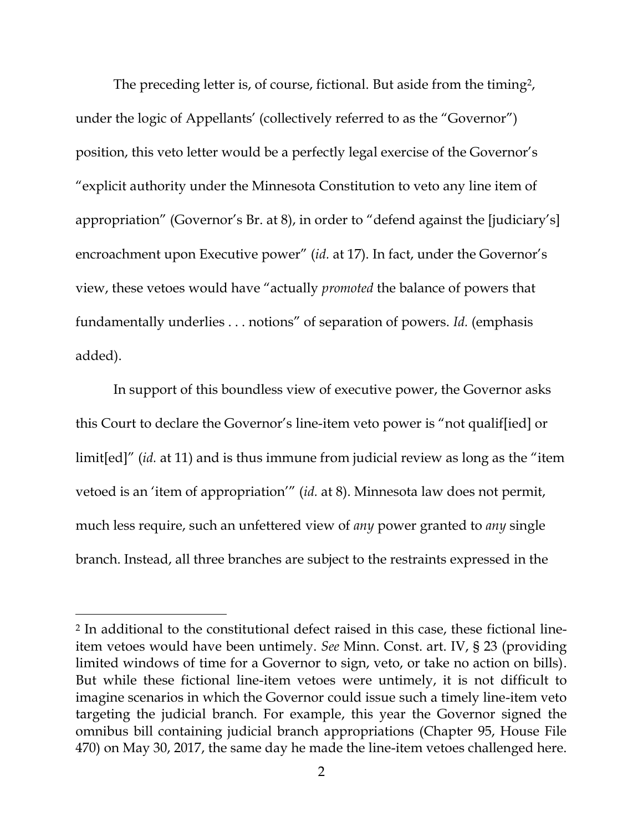The preceding letter is, of course, fictional. But aside from the timing?, under the logic of Appellants' (collectively referred to as the "Governor") position, this veto letter would be a perfectly legal exercise of the Governor's "explicit authority under the Minnesota Constitution to veto any line item of appropriation" (Governor's Br. at 8), in order to "defend against the [judiciary's] encroachment upon Executive power" (*id.* at 17). In fact, under the Governor's view, these vetoes would have "actually *promoted* the balance of powers that fundamentally underlies . . . notions" of separation of powers. *Id.* (emphasis added).

In support of this boundless view of executive power, the Governor asks this Court to declare the Governor's line-item veto power is "not qualif[ied] or limit[ed]" (*id.* at 11) and is thus immune from judicial review as long as the "item vetoed is an 'item of appropriation'" (*id.* at 8). Minnesota law does not permit, much less require, such an unfettered view of *any* power granted to *any* single branch. Instead, all three branches are subject to the restraints expressed in the

<sup>2</sup> In additional to the constitutional defect raised in this case, these fictional lineitem vetoes would have been untimely. *See* Minn. Const. art. IV, § 23 (providing limited windows of time for a Governor to sign, veto, or take no action on bills). But while these fictional line-item vetoes were untimely, it is not difficult to imagine scenarios in which the Governor could issue such a timely line-item veto targeting the judicial branch. For example, this year the Governor signed the omnibus bill containing judicial branch appropriations (Chapter 95, House File 470) on May 30, 2017, the same day he made the line-item vetoes challenged here.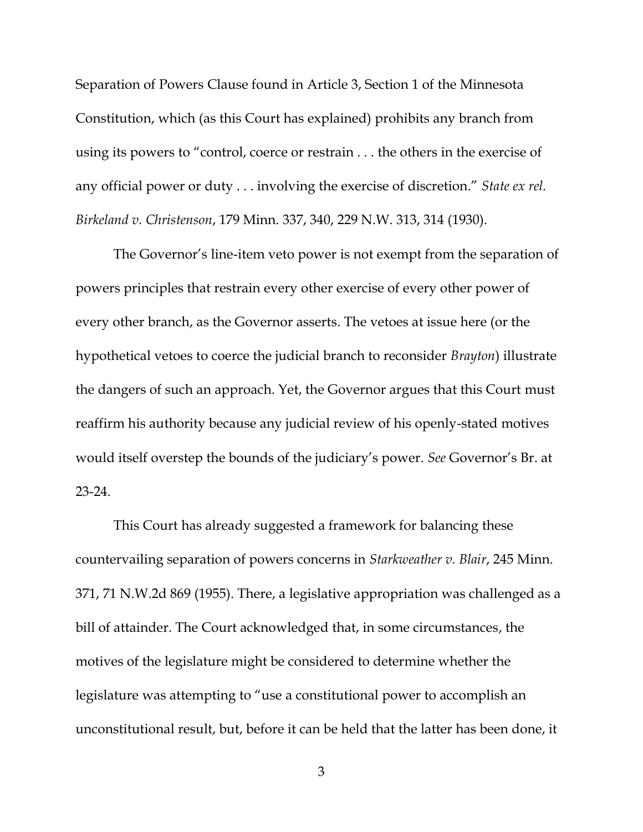Separation of Powers Clause found in Article 3, Section 1 of the Minnesota Constitution, which (as this Court has explained) prohibits any branch from using its powers to "control, coerce or restrain . . . the others in the exercise of any official power or duty . . . involving the exercise of discretion." *State ex rel. Birkeland v. Christenson*, 179 Minn. 337, 340, 229 N.W. 313, 314 (1930).

The Governor's line-item veto power is not exempt from the separation of powers principles that restrain every other exercise of every other power of every other branch, as the Governor asserts. The vetoes at issue here (or the hypothetical vetoes to coerce the judicial branch to reconsider *Brayton*) illustrate the dangers of such an approach. Yet, the Governor argues that this Court must reaffirm his authority because any judicial review of his openly-stated motives would itself overstep the bounds of the judiciary's power. *See* Governor's Br. at 23-24.

This Court has already suggested a framework for balancing these countervailing separation of powers concerns in *Starkweather v. Blair*, 245 Minn. 371, 71 N.W.2d 869 (1955). There, a legislative appropriation was challenged as a bill of attainder. The Court acknowledged that, in some circumstances, the motives of the legislature might be considered to determine whether the legislature was attempting to "use a constitutional power to accomplish an unconstitutional result, but, before it can be held that the latter has been done, it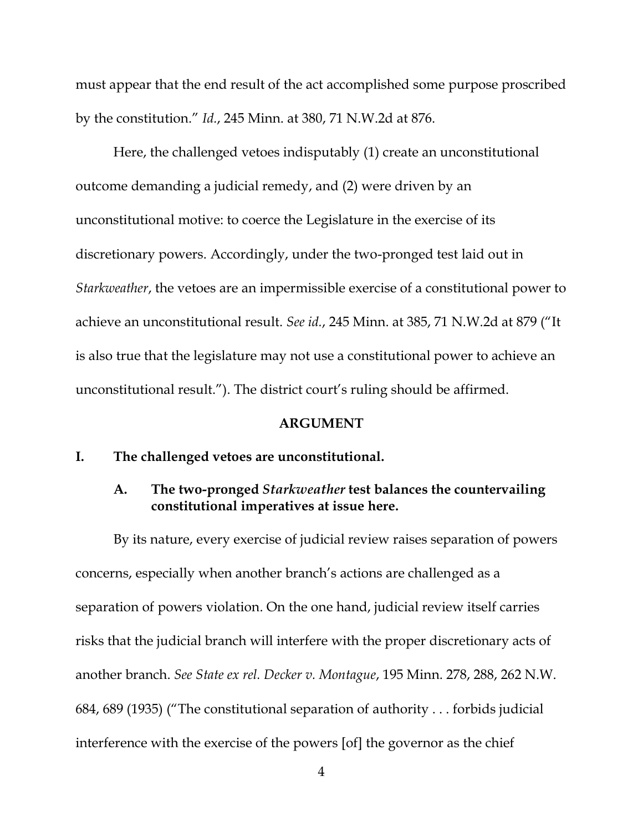must appear that the end result of the act accomplished some purpose proscribed by the constitution." *Id.*, 245 Minn. at 380, 71 N.W.2d at 876.

Here, the challenged vetoes indisputably (1) create an unconstitutional outcome demanding a judicial remedy, and (2) were driven by an unconstitutional motive: to coerce the Legislature in the exercise of its discretionary powers. Accordingly, under the two-pronged test laid out in *Starkweather*, the vetoes are an impermissible exercise of a constitutional power to achieve an unconstitutional result. *See id.*, 245 Minn. at 385, 71 N.W.2d at 879 ("It is also true that the legislature may not use a constitutional power to achieve an unconstitutional result."). The district court's ruling should be affirmed.

#### **ARGUMENT**

#### **I. The challenged vetoes are unconstitutional.**

### **A. The two-pronged** *Starkweather* **test balances the countervailing constitutional imperatives at issue here.**

By its nature, every exercise of judicial review raises separation of powers concerns, especially when another branch's actions are challenged as a separation of powers violation. On the one hand, judicial review itself carries risks that the judicial branch will interfere with the proper discretionary acts of another branch. *See State ex rel. Decker v. Montague*, 195 Minn. 278, 288, 262 N.W. 684, 689 (1935) ("The constitutional separation of authority . . . forbids judicial interference with the exercise of the powers [of] the governor as the chief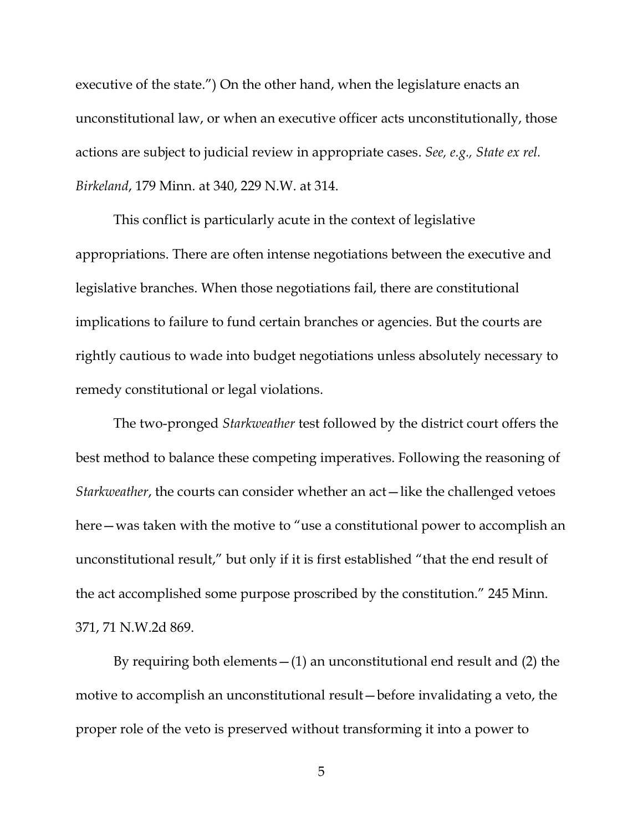executive of the state.") On the other hand, when the legislature enacts an unconstitutional law, or when an executive officer acts unconstitutionally, those actions are subject to judicial review in appropriate cases. *See, e.g., State ex rel. Birkeland*, 179 Minn. at 340, 229 N.W. at 314.

This conflict is particularly acute in the context of legislative appropriations. There are often intense negotiations between the executive and legislative branches. When those negotiations fail, there are constitutional implications to failure to fund certain branches or agencies. But the courts are rightly cautious to wade into budget negotiations unless absolutely necessary to remedy constitutional or legal violations.

The two-pronged *Starkweather* test followed by the district court offers the best method to balance these competing imperatives. Following the reasoning of *Starkweather*, the courts can consider whether an act—like the challenged vetoes here—was taken with the motive to "use a constitutional power to accomplish an unconstitutional result," but only if it is first established "that the end result of the act accomplished some purpose proscribed by the constitution." 245 Minn. 371, 71 N.W.2d 869.

By requiring both elements—(1) an unconstitutional end result and (2) the motive to accomplish an unconstitutional result—before invalidating a veto, the proper role of the veto is preserved without transforming it into a power to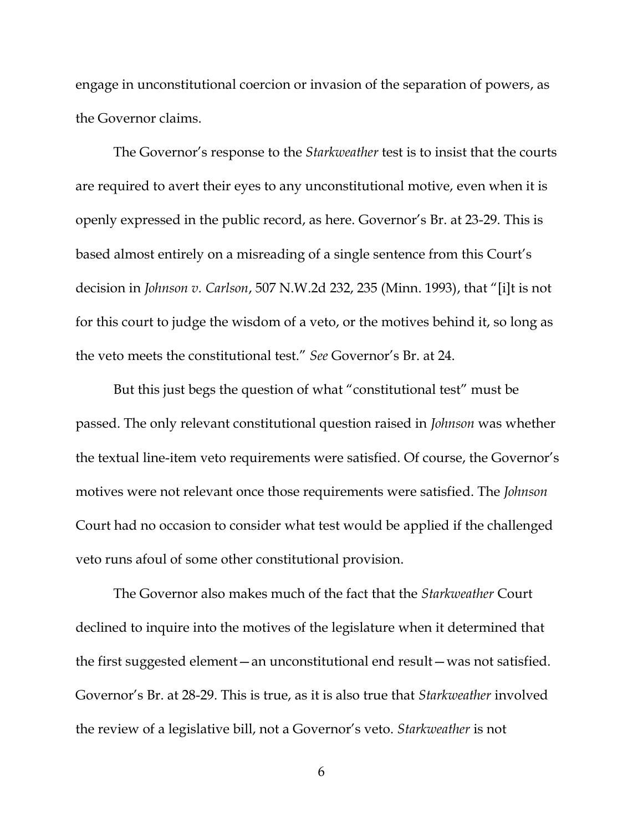engage in unconstitutional coercion or invasion of the separation of powers, as the Governor claims.

The Governor's response to the *Starkweather* test is to insist that the courts are required to avert their eyes to any unconstitutional motive, even when it is openly expressed in the public record, as here. Governor's Br. at 23-29. This is based almost entirely on a misreading of a single sentence from this Court's decision in *Johnson v. Carlson*, 507 N.W.2d 232, 235 (Minn. 1993), that "[i]t is not for this court to judge the wisdom of a veto, or the motives behind it, so long as the veto meets the constitutional test." *See* Governor's Br. at 24.

But this just begs the question of what "constitutional test" must be passed. The only relevant constitutional question raised in *Johnson* was whether the textual line-item veto requirements were satisfied. Of course, the Governor's motives were not relevant once those requirements were satisfied. The *Johnson* Court had no occasion to consider what test would be applied if the challenged veto runs afoul of some other constitutional provision.

The Governor also makes much of the fact that the *Starkweather* Court declined to inquire into the motives of the legislature when it determined that the first suggested element—an unconstitutional end result—was not satisfied. Governor's Br. at 28-29. This is true, as it is also true that *Starkweather* involved the review of a legislative bill, not a Governor's veto. *Starkweather* is not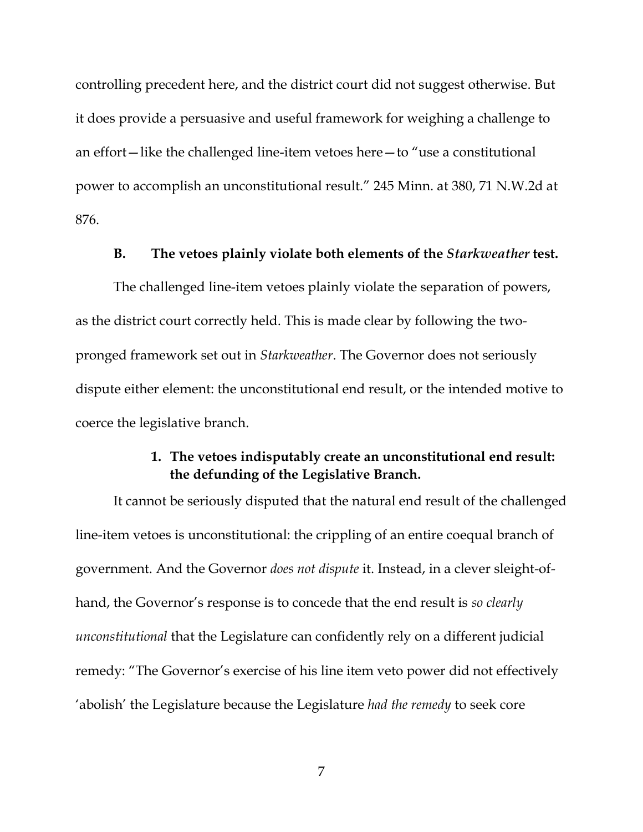controlling precedent here, and the district court did not suggest otherwise. But it does provide a persuasive and useful framework for weighing a challenge to an effort—like the challenged line-item vetoes here—to "use a constitutional power to accomplish an unconstitutional result." 245 Minn. at 380, 71 N.W.2d at 876.

#### **B. The vetoes plainly violate both elements of the** *Starkweather* **test.**

The challenged line-item vetoes plainly violate the separation of powers, as the district court correctly held. This is made clear by following the twopronged framework set out in *Starkweather*. The Governor does not seriously dispute either element: the unconstitutional end result, or the intended motive to coerce the legislative branch.

### **1. The vetoes indisputably create an unconstitutional end result: the defunding of the Legislative Branch.**

It cannot be seriously disputed that the natural end result of the challenged line-item vetoes is unconstitutional: the crippling of an entire coequal branch of government. And the Governor *does not dispute* it. Instead, in a clever sleight-ofhand, the Governor's response is to concede that the end result is *so clearly unconstitutional* that the Legislature can confidently rely on a different judicial remedy: "The Governor's exercise of his line item veto power did not effectively 'abolish' the Legislature because the Legislature *had the remedy* to seek core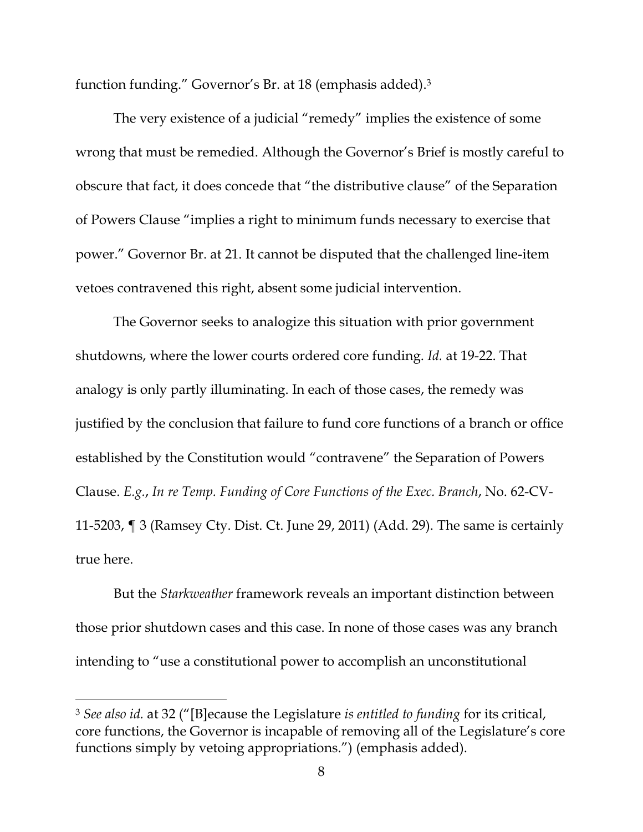function funding." Governor's Br. at 18 (emphasis added). 3

The very existence of a judicial "remedy" implies the existence of some wrong that must be remedied. Although the Governor's Brief is mostly careful to obscure that fact, it does concede that "the distributive clause" of the Separation of Powers Clause "implies a right to minimum funds necessary to exercise that power." Governor Br. at 21. It cannot be disputed that the challenged line-item vetoes contravened this right, absent some judicial intervention.

The Governor seeks to analogize this situation with prior government shutdowns, where the lower courts ordered core funding. *Id.* at 19-22. That analogy is only partly illuminating. In each of those cases, the remedy was justified by the conclusion that failure to fund core functions of a branch or office established by the Constitution would "contravene" the Separation of Powers Clause. *E.g.*, *In re Temp. Funding of Core Functions of the Exec. Branch*, No. 62-CV-11-5203, ¶ 3 (Ramsey Cty. Dist. Ct. June 29, 2011) (Add. 29). The same is certainly true here.

But the *Starkweather* framework reveals an important distinction between those prior shutdown cases and this case. In none of those cases was any branch intending to "use a constitutional power to accomplish an unconstitutional

<sup>3</sup> *See also id.* at 32 ("[B]ecause the Legislature *is entitled to funding* for its critical, core functions, the Governor is incapable of removing all of the Legislature's core functions simply by vetoing appropriations.") (emphasis added).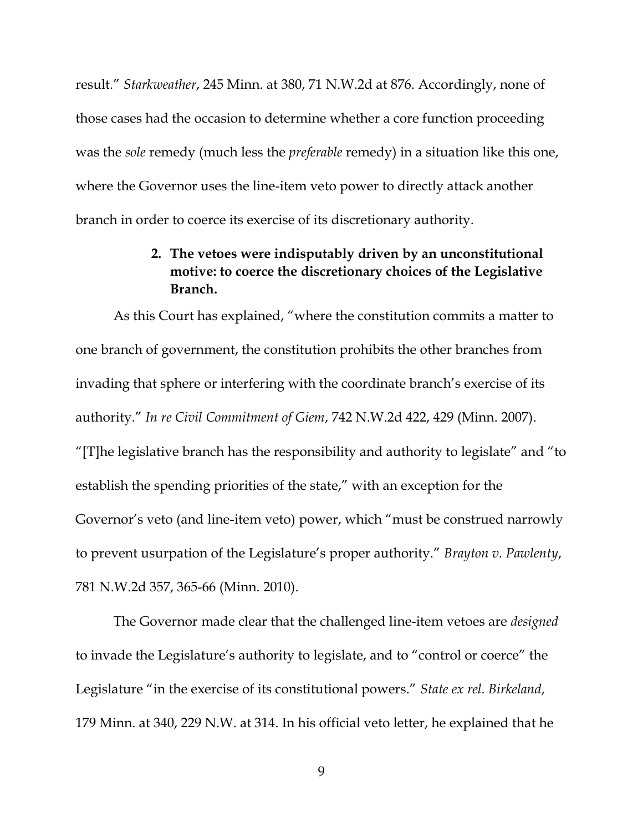result." *Starkweather*, 245 Minn. at 380, 71 N.W.2d at 876. Accordingly, none of those cases had the occasion to determine whether a core function proceeding was the *sole* remedy (much less the *preferable* remedy) in a situation like this one, where the Governor uses the line-item veto power to directly attack another branch in order to coerce its exercise of its discretionary authority.

## **2. The vetoes were indisputably driven by an unconstitutional motive: to coerce the discretionary choices of the Legislative Branch.**

As this Court has explained, "where the constitution commits a matter to one branch of government, the constitution prohibits the other branches from invading that sphere or interfering with the coordinate branch's exercise of its authority." *In re Civil Commitment of Giem*, 742 N.W.2d 422, 429 (Minn. 2007). "[T]he legislative branch has the responsibility and authority to legislate" and "to establish the spending priorities of the state," with an exception for the Governor's veto (and line-item veto) power, which "must be construed narrowly to prevent usurpation of the Legislature's proper authority." *Brayton v. Pawlenty*, 781 N.W.2d 357, 365-66 (Minn. 2010).

The Governor made clear that the challenged line-item vetoes are *designed* to invade the Legislature's authority to legislate, and to "control or coerce" the Legislature "in the exercise of its constitutional powers." *State ex rel. Birkeland*, 179 Minn. at 340, 229 N.W. at 314. In his official veto letter, he explained that he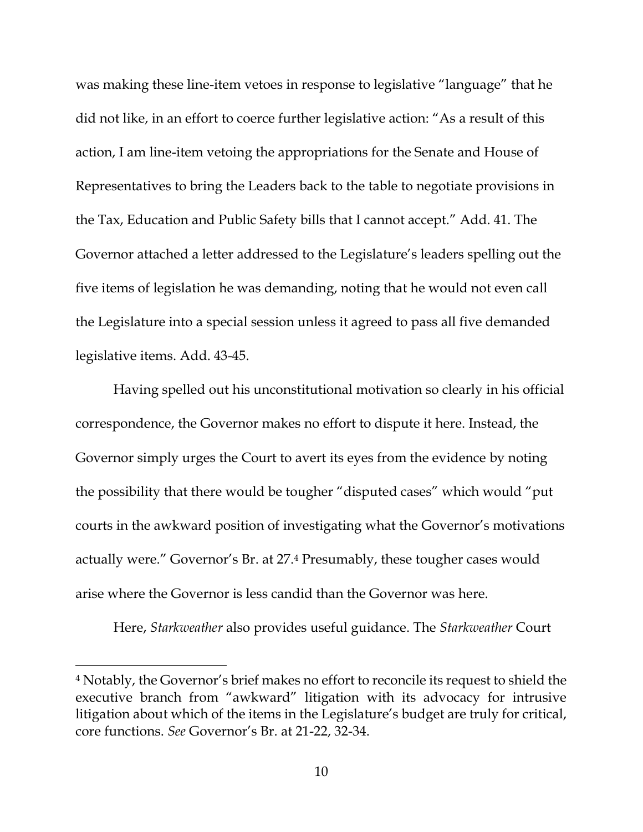was making these line-item vetoes in response to legislative "language" that he did not like, in an effort to coerce further legislative action: "As a result of this action, I am line-item vetoing the appropriations for the Senate and House of Representatives to bring the Leaders back to the table to negotiate provisions in the Tax, Education and Public Safety bills that I cannot accept." Add. 41. The Governor attached a letter addressed to the Legislature's leaders spelling out the five items of legislation he was demanding, noting that he would not even call the Legislature into a special session unless it agreed to pass all five demanded legislative items. Add. 43-45.

Having spelled out his unconstitutional motivation so clearly in his official correspondence, the Governor makes no effort to dispute it here. Instead, the Governor simply urges the Court to avert its eyes from the evidence by noting the possibility that there would be tougher "disputed cases" which would "put courts in the awkward position of investigating what the Governor's motivations actually were." Governor's Br. at 27.<sup>4</sup> Presumably, these tougher cases would arise where the Governor is less candid than the Governor was here.

Here, *Starkweather* also provides useful guidance. The *Starkweather* Court

<sup>4</sup> Notably, the Governor's brief makes no effort to reconcile its request to shield the executive branch from "awkward" litigation with its advocacy for intrusive litigation about which of the items in the Legislature's budget are truly for critical, core functions. *See* Governor's Br. at 21-22, 32-34.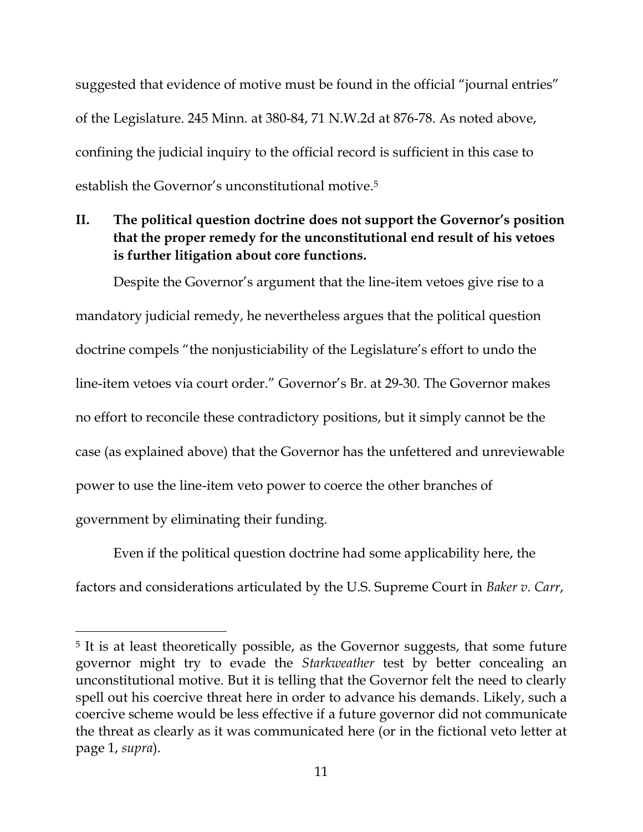suggested that evidence of motive must be found in the official "journal entries" of the Legislature. 245 Minn. at 380-84, 71 N.W.2d at 876-78. As noted above, confining the judicial inquiry to the official record is sufficient in this case to establish the Governor's unconstitutional motive.<sup>5</sup>

**II. The political question doctrine does not support the Governor's position that the proper remedy for the unconstitutional end result of his vetoes is further litigation about core functions.**

Despite the Governor's argument that the line-item vetoes give rise to a mandatory judicial remedy, he nevertheless argues that the political question doctrine compels "the nonjusticiability of the Legislature's effort to undo the line-item vetoes via court order." Governor's Br. at 29-30. The Governor makes no effort to reconcile these contradictory positions, but it simply cannot be the case (as explained above) that the Governor has the unfettered and unreviewable power to use the line-item veto power to coerce the other branches of government by eliminating their funding.

Even if the political question doctrine had some applicability here, the factors and considerations articulated by the U.S. Supreme Court in *Baker v. Carr*,

<sup>5</sup> It is at least theoretically possible, as the Governor suggests, that some future governor might try to evade the *Starkweather* test by better concealing an unconstitutional motive. But it is telling that the Governor felt the need to clearly spell out his coercive threat here in order to advance his demands. Likely, such a coercive scheme would be less effective if a future governor did not communicate the threat as clearly as it was communicated here (or in the fictional veto letter at page 1, *supra*).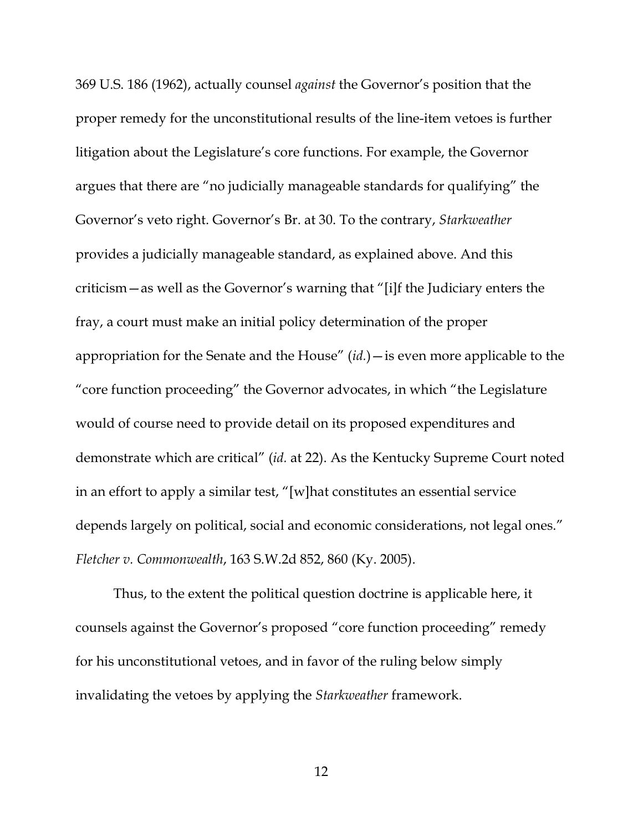369 U.S. 186 (1962), actually counsel *against* the Governor's position that the proper remedy for the unconstitutional results of the line-item vetoes is further litigation about the Legislature's core functions. For example, the Governor argues that there are "no judicially manageable standards for qualifying" the Governor's veto right. Governor's Br. at 30. To the contrary, *Starkweather* provides a judicially manageable standard, as explained above. And this criticism—as well as the Governor's warning that "[i]f the Judiciary enters the fray, a court must make an initial policy determination of the proper appropriation for the Senate and the House" (*id.*)—is even more applicable to the "core function proceeding" the Governor advocates, in which "the Legislature would of course need to provide detail on its proposed expenditures and demonstrate which are critical" (*id.* at 22). As the Kentucky Supreme Court noted in an effort to apply a similar test, "[w]hat constitutes an essential service depends largely on political, social and economic considerations, not legal ones." *Fletcher v. Commonwealth*, 163 S.W.2d 852, 860 (Ky. 2005).

Thus, to the extent the political question doctrine is applicable here, it counsels against the Governor's proposed "core function proceeding" remedy for his unconstitutional vetoes, and in favor of the ruling below simply invalidating the vetoes by applying the *Starkweather* framework.